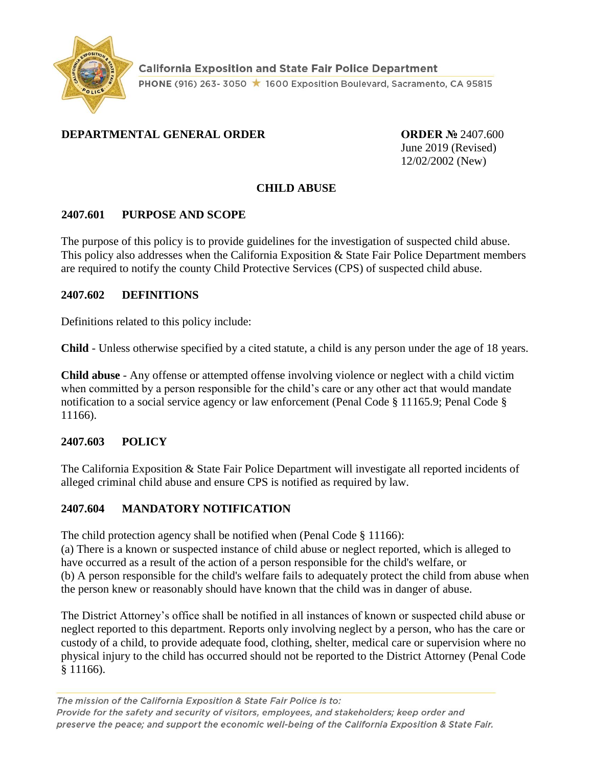

#### **DEPARTMENTAL GENERAL ORDER ORDER №** 2407.600

June 2019 (Revised) 12/02/2002 (New)

#### **CHILD ABUSE**

#### **2407.601 PURPOSE AND SCOPE**

The purpose of this policy is to provide guidelines for the investigation of suspected child abuse. This policy also addresses when the California Exposition & State Fair Police Department members are required to notify the county Child Protective Services (CPS) of suspected child abuse.

#### **2407.602 DEFINITIONS**

Definitions related to this policy include:

**Child** - Unless otherwise specified by a cited statute, a child is any person under the age of 18 years.

**Child abuse** - Any offense or attempted offense involving violence or neglect with a child victim when committed by a person responsible for the child's care or any other act that would mandate notification to a social service agency or law enforcement (Penal Code § 11165.9; Penal Code § 11166).

#### **2407.603 POLICY**

The California Exposition & State Fair Police Department will investigate all reported incidents of alleged criminal child abuse and ensure CPS is notified as required by law.

#### **2407.604 MANDATORY NOTIFICATION**

The child protection agency shall be notified when (Penal Code § 11166):

(a) There is a known or suspected instance of child abuse or neglect reported, which is alleged to have occurred as a result of the action of a person responsible for the child's welfare, or (b) A person responsible for the child's welfare fails to adequately protect the child from abuse when the person knew or reasonably should have known that the child was in danger of abuse.

The District Attorney's office shall be notified in all instances of known or suspected child abuse or neglect reported to this department. Reports only involving neglect by a person, who has the care or custody of a child, to provide adequate food, clothing, shelter, medical care or supervision where no physical injury to the child has occurred should not be reported to the District Attorney (Penal Code § 11166).

The mission of the California Exposition & State Fair Police is to: Provide for the safety and security of visitors, employees, and stakeholders; keep order and preserve the peace; and support the economic well-being of the California Exposition & State Fair.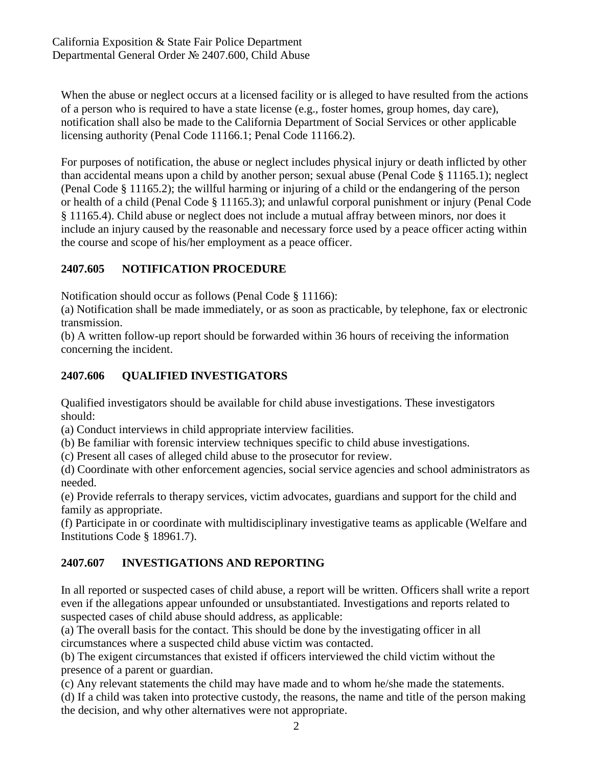When the abuse or neglect occurs at a licensed facility or is alleged to have resulted from the actions of a person who is required to have a state license (e.g., foster homes, group homes, day care), notification shall also be made to the California Department of Social Services or other applicable licensing authority (Penal Code 11166.1; Penal Code 11166.2).

For purposes of notification, the abuse or neglect includes physical injury or death inflicted by other than accidental means upon a child by another person; sexual abuse (Penal Code § 11165.1); neglect (Penal Code § 11165.2); the willful harming or injuring of a child or the endangering of the person or health of a child (Penal Code § 11165.3); and unlawful corporal punishment or injury (Penal Code § 11165.4). Child abuse or neglect does not include a mutual affray between minors, nor does it include an injury caused by the reasonable and necessary force used by a peace officer acting within the course and scope of his/her employment as a peace officer.

## **2407.605 NOTIFICATION PROCEDURE**

Notification should occur as follows (Penal Code § 11166):

(a) Notification shall be made immediately, or as soon as practicable, by telephone, fax or electronic transmission.

(b) A written follow-up report should be forwarded within 36 hours of receiving the information concerning the incident.

# **2407.606 QUALIFIED INVESTIGATORS**

Qualified investigators should be available for child abuse investigations. These investigators should:

(a) Conduct interviews in child appropriate interview facilities.

(b) Be familiar with forensic interview techniques specific to child abuse investigations.

(c) Present all cases of alleged child abuse to the prosecutor for review.

(d) Coordinate with other enforcement agencies, social service agencies and school administrators as needed.

(e) Provide referrals to therapy services, victim advocates, guardians and support for the child and family as appropriate.

(f) Participate in or coordinate with multidisciplinary investigative teams as applicable (Welfare and Institutions Code § 18961.7).

# **2407.607 INVESTIGATIONS AND REPORTING**

In all reported or suspected cases of child abuse, a report will be written. Officers shall write a report even if the allegations appear unfounded or unsubstantiated. Investigations and reports related to suspected cases of child abuse should address, as applicable:

(a) The overall basis for the contact. This should be done by the investigating officer in all circumstances where a suspected child abuse victim was contacted.

(b) The exigent circumstances that existed if officers interviewed the child victim without the presence of a parent or guardian.

(c) Any relevant statements the child may have made and to whom he/she made the statements.

(d) If a child was taken into protective custody, the reasons, the name and title of the person making the decision, and why other alternatives were not appropriate.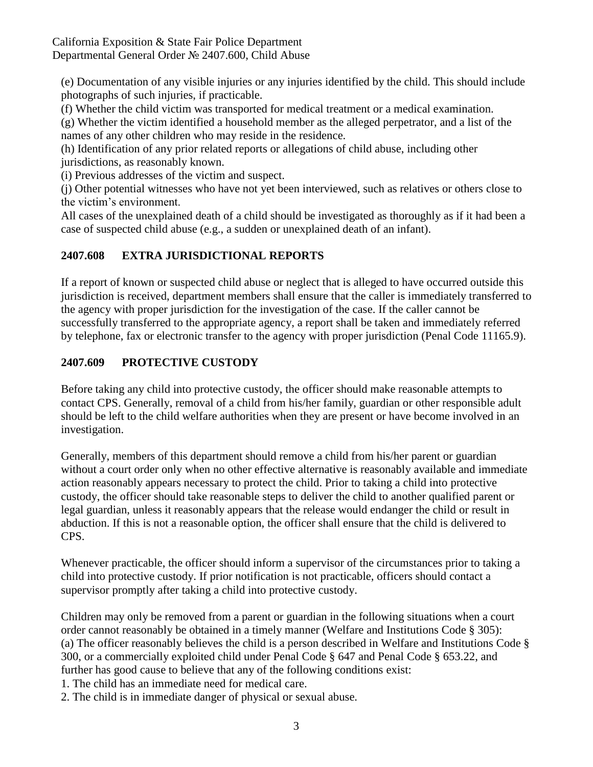(e) Documentation of any visible injuries or any injuries identified by the child. This should include photographs of such injuries, if practicable.

(f) Whether the child victim was transported for medical treatment or a medical examination.

(g) Whether the victim identified a household member as the alleged perpetrator, and a list of the names of any other children who may reside in the residence.

(h) Identification of any prior related reports or allegations of child abuse, including other jurisdictions, as reasonably known.

(i) Previous addresses of the victim and suspect.

(j) Other potential witnesses who have not yet been interviewed, such as relatives or others close to the victim's environment.

All cases of the unexplained death of a child should be investigated as thoroughly as if it had been a case of suspected child abuse (e.g., a sudden or unexplained death of an infant).

# **2407.608 EXTRA JURISDICTIONAL REPORTS**

If a report of known or suspected child abuse or neglect that is alleged to have occurred outside this jurisdiction is received, department members shall ensure that the caller is immediately transferred to the agency with proper jurisdiction for the investigation of the case. If the caller cannot be successfully transferred to the appropriate agency, a report shall be taken and immediately referred by telephone, fax or electronic transfer to the agency with proper jurisdiction (Penal Code 11165.9).

# **2407.609 PROTECTIVE CUSTODY**

Before taking any child into protective custody, the officer should make reasonable attempts to contact CPS. Generally, removal of a child from his/her family, guardian or other responsible adult should be left to the child welfare authorities when they are present or have become involved in an investigation.

Generally, members of this department should remove a child from his/her parent or guardian without a court order only when no other effective alternative is reasonably available and immediate action reasonably appears necessary to protect the child. Prior to taking a child into protective custody, the officer should take reasonable steps to deliver the child to another qualified parent or legal guardian, unless it reasonably appears that the release would endanger the child or result in abduction. If this is not a reasonable option, the officer shall ensure that the child is delivered to CPS.

Whenever practicable, the officer should inform a supervisor of the circumstances prior to taking a child into protective custody. If prior notification is not practicable, officers should contact a supervisor promptly after taking a child into protective custody.

Children may only be removed from a parent or guardian in the following situations when a court order cannot reasonably be obtained in a timely manner (Welfare and Institutions Code § 305): (a) The officer reasonably believes the child is a person described in Welfare and Institutions Code § 300, or a commercially exploited child under Penal Code § 647 and Penal Code § 653.22, and further has good cause to believe that any of the following conditions exist: 1. The child has an immediate need for medical care.

2. The child is in immediate danger of physical or sexual abuse.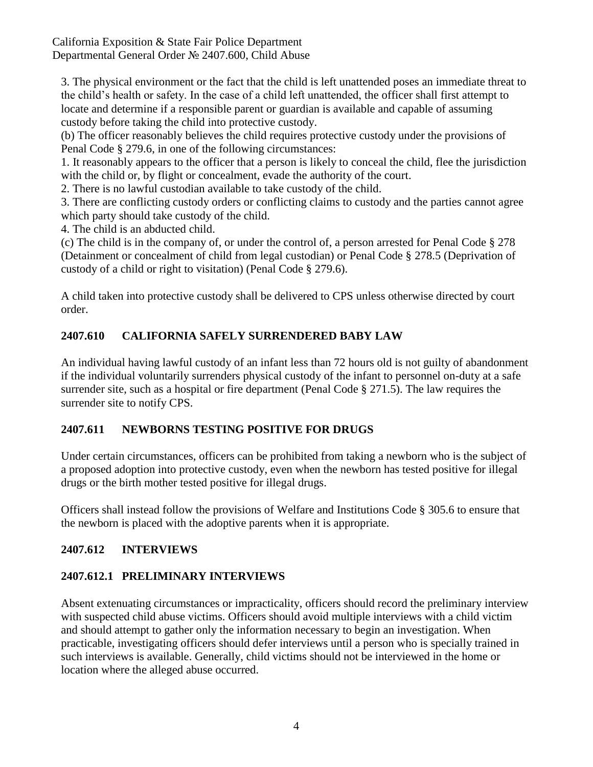#### California Exposition & State Fair Police Department Departmental General Order № 2407.600, Child Abuse

3. The physical environment or the fact that the child is left unattended poses an immediate threat to the child's health or safety. In the case of a child left unattended, the officer shall first attempt to locate and determine if a responsible parent or guardian is available and capable of assuming custody before taking the child into protective custody.

(b) The officer reasonably believes the child requires protective custody under the provisions of Penal Code § 279.6, in one of the following circumstances:

1. It reasonably appears to the officer that a person is likely to conceal the child, flee the jurisdiction with the child or, by flight or concealment, evade the authority of the court.

2. There is no lawful custodian available to take custody of the child.

3. There are conflicting custody orders or conflicting claims to custody and the parties cannot agree which party should take custody of the child.

4. The child is an abducted child.

(c) The child is in the company of, or under the control of, a person arrested for Penal Code § 278 (Detainment or concealment of child from legal custodian) or Penal Code § 278.5 (Deprivation of custody of a child or right to visitation) (Penal Code § 279.6).

A child taken into protective custody shall be delivered to CPS unless otherwise directed by court order.

# **2407.610 CALIFORNIA SAFELY SURRENDERED BABY LAW**

An individual having lawful custody of an infant less than 72 hours old is not guilty of abandonment if the individual voluntarily surrenders physical custody of the infant to personnel on-duty at a safe surrender site, such as a hospital or fire department (Penal Code § 271.5). The law requires the surrender site to notify CPS.

### **2407.611 NEWBORNS TESTING POSITIVE FOR DRUGS**

Under certain circumstances, officers can be prohibited from taking a newborn who is the subject of a proposed adoption into protective custody, even when the newborn has tested positive for illegal drugs or the birth mother tested positive for illegal drugs.

Officers shall instead follow the provisions of Welfare and Institutions Code § 305.6 to ensure that the newborn is placed with the adoptive parents when it is appropriate.

# **2407.612 INTERVIEWS**

# **2407.612.1 PRELIMINARY INTERVIEWS**

Absent extenuating circumstances or impracticality, officers should record the preliminary interview with suspected child abuse victims. Officers should avoid multiple interviews with a child victim and should attempt to gather only the information necessary to begin an investigation. When practicable, investigating officers should defer interviews until a person who is specially trained in such interviews is available. Generally, child victims should not be interviewed in the home or location where the alleged abuse occurred.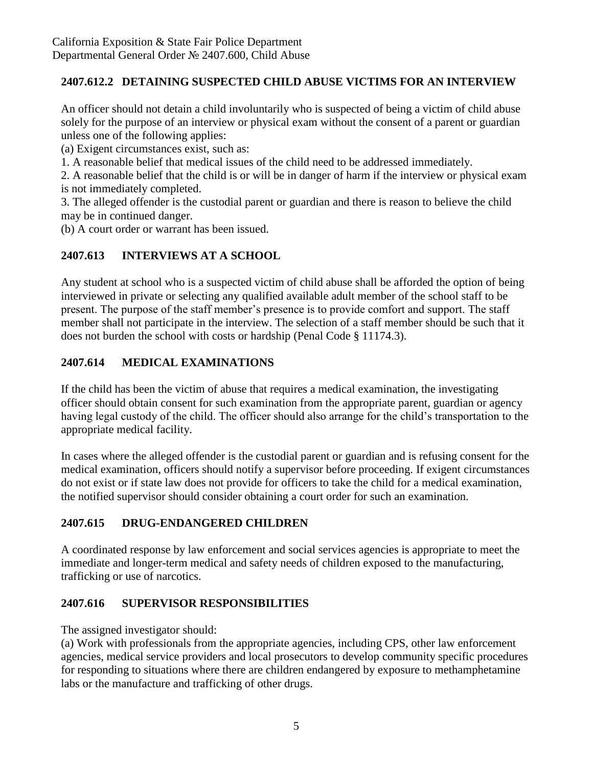## **2407.612.2 DETAINING SUSPECTED CHILD ABUSE VICTIMS FOR AN INTERVIEW**

An officer should not detain a child involuntarily who is suspected of being a victim of child abuse solely for the purpose of an interview or physical exam without the consent of a parent or guardian unless one of the following applies:

(a) Exigent circumstances exist, such as:

1. A reasonable belief that medical issues of the child need to be addressed immediately.

2. A reasonable belief that the child is or will be in danger of harm if the interview or physical exam is not immediately completed.

3. The alleged offender is the custodial parent or guardian and there is reason to believe the child may be in continued danger.

(b) A court order or warrant has been issued.

# **2407.613 INTERVIEWS AT A SCHOOL**

Any student at school who is a suspected victim of child abuse shall be afforded the option of being interviewed in private or selecting any qualified available adult member of the school staff to be present. The purpose of the staff member's presence is to provide comfort and support. The staff member shall not participate in the interview. The selection of a staff member should be such that it does not burden the school with costs or hardship (Penal Code § 11174.3).

## **2407.614 MEDICAL EXAMINATIONS**

If the child has been the victim of abuse that requires a medical examination, the investigating officer should obtain consent for such examination from the appropriate parent, guardian or agency having legal custody of the child. The officer should also arrange for the child's transportation to the appropriate medical facility.

In cases where the alleged offender is the custodial parent or guardian and is refusing consent for the medical examination, officers should notify a supervisor before proceeding. If exigent circumstances do not exist or if state law does not provide for officers to take the child for a medical examination, the notified supervisor should consider obtaining a court order for such an examination.

### **2407.615 DRUG-ENDANGERED CHILDREN**

A coordinated response by law enforcement and social services agencies is appropriate to meet the immediate and longer-term medical and safety needs of children exposed to the manufacturing, trafficking or use of narcotics.

### **2407.616 SUPERVISOR RESPONSIBILITIES**

The assigned investigator should:

(a) Work with professionals from the appropriate agencies, including CPS, other law enforcement agencies, medical service providers and local prosecutors to develop community specific procedures for responding to situations where there are children endangered by exposure to methamphetamine labs or the manufacture and trafficking of other drugs.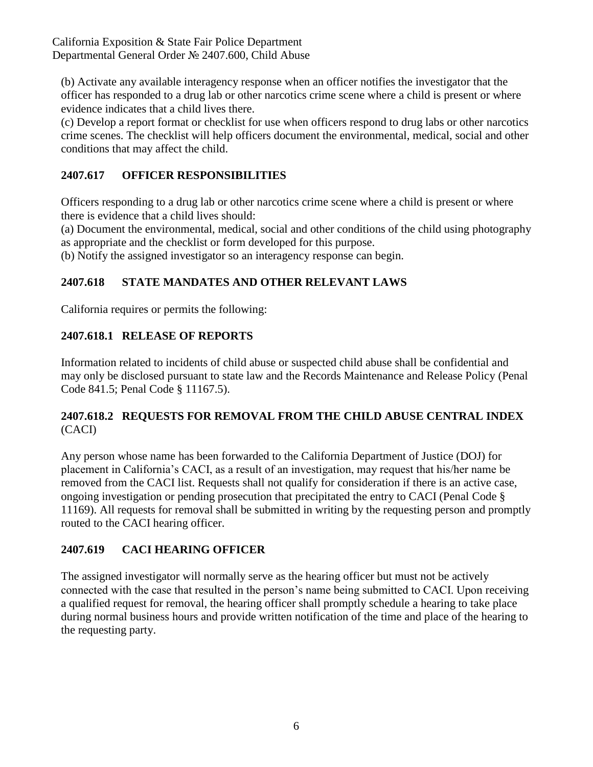(b) Activate any available interagency response when an officer notifies the investigator that the officer has responded to a drug lab or other narcotics crime scene where a child is present or where evidence indicates that a child lives there.

(c) Develop a report format or checklist for use when officers respond to drug labs or other narcotics crime scenes. The checklist will help officers document the environmental, medical, social and other conditions that may affect the child.

## **2407.617 OFFICER RESPONSIBILITIES**

Officers responding to a drug lab or other narcotics crime scene where a child is present or where there is evidence that a child lives should:

(a) Document the environmental, medical, social and other conditions of the child using photography as appropriate and the checklist or form developed for this purpose.

(b) Notify the assigned investigator so an interagency response can begin.

## **2407.618 STATE MANDATES AND OTHER RELEVANT LAWS**

California requires or permits the following:

### **2407.618.1 RELEASE OF REPORTS**

Information related to incidents of child abuse or suspected child abuse shall be confidential and may only be disclosed pursuant to state law and the Records Maintenance and Release Policy (Penal Code 841.5; Penal Code § 11167.5).

#### **2407.618.2 REQUESTS FOR REMOVAL FROM THE CHILD ABUSE CENTRAL INDEX** (CACI)

Any person whose name has been forwarded to the California Department of Justice (DOJ) for placement in California's CACI, as a result of an investigation, may request that his/her name be removed from the CACI list. Requests shall not qualify for consideration if there is an active case, ongoing investigation or pending prosecution that precipitated the entry to CACI (Penal Code § 11169). All requests for removal shall be submitted in writing by the requesting person and promptly routed to the CACI hearing officer.

### **2407.619 CACI HEARING OFFICER**

The assigned investigator will normally serve as the hearing officer but must not be actively connected with the case that resulted in the person's name being submitted to CACI. Upon receiving a qualified request for removal, the hearing officer shall promptly schedule a hearing to take place during normal business hours and provide written notification of the time and place of the hearing to the requesting party.